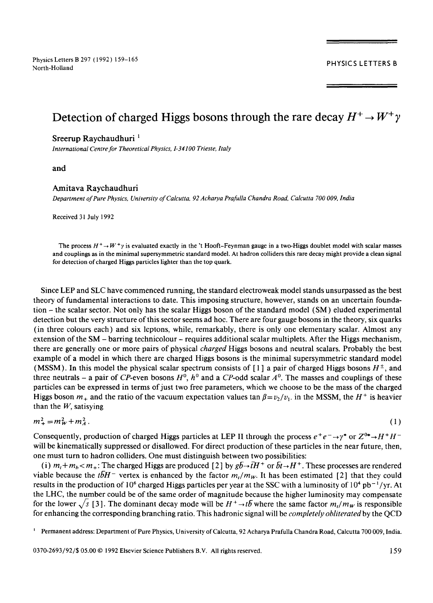Physics Letters B 297 (1992) 159-165 PHYSICS LETTERS B North-Holland

# Detection of charged Higgs bosons through the rare decay  $H^+ \rightarrow W^+ \gamma$

## Sreerup Raychaudhuri **<sup>1</sup>**

*International Centre for Theoretical Physics, 1-34100 Trieste, Italy* 

and

### Amitava Raychaudhuri

*Department of Pure Physics, University of Calcutta, 92 Acharya Prafulla Chandra Road, Calcutta 700 009, India* 

Received 31 July 1992

The process  $H^+ \rightarrow W^+ \gamma$  is evaluated exactly in the 't Hooft-Feynman gauge in a two-Higgs doublet model with scalar masses and couplings as in the minimal supersymmetric standard model. At hadron colliders this rare decay might provide a clean signal for detection of charged Higgs particles lighter than the top quark.

Since LEP and SLC have commenced running, the standard electroweak model stands unsurpassed as the best theory of fundamental interactions to date. This imposing structure, however, stands on an uncertain foundation - the scalar sector. Not only has the scalar Higgs boson of the standard model (SM) eluded experimental detection but the very structure of this sector seems ad hoc. There are four gauge bosons in the theory, six quarks (in three colours each) and six leptons, while, remarkably, there is only one elementary scalar. Almost any extension of the SM – barring technicolour – requires additional scalar multiplets. After the Higgs mechanism, there are generally one or more pairs of physical *charged* Higgs bosons and neutral scalars. Probably the best example of a model in which there are charged Higgs bosons is the minimal supersymmetric standard model (MSSM). In this model the physical scalar spectrum consists of [1] a pair of charged Higgs bosons  $H^{\pm}$ , and three neutrals – a pair of CP-even bosons  $H^0$ ,  $h^0$  and a CP-odd scalar  $A^0$ . The masses and couplings of these particles canbe expressed in terms of just two free parameters, which we choose to be the mass of the charged Higgs boson  $m_+$  and the ratio of the vacuum expectation values tan  $\beta = v_2/v_1$ , in the MSSM, the H<sup>+</sup> is heavier than the  $W$ , satisying

$$
m_{+}^{2}=m_{W}^{2}+m_{A}^{2}.
$$
 (1)

Consequently, production of charged Higgs particles at LEP II through the process  $e^+e^- \rightarrow \gamma^*$  or  $Z^{0*} \rightarrow H^+H^$ will be kinematically suppressed or disallowed. For direct production of these particles in the near future, then, one must turn to hadron colliders. One must distinguish between two possibilities:

*(i) m<sub>t</sub>*+ $m_b$  <  $m_+$ : The charged Higgs are produced [2] by  $g\bar{b}$   $\rightarrow$   $\bar{t}H$   $^+$  or  $\bar{b}t \rightarrow H$   $^+$ . These processes are rendered viable because the *tbH* - vertex is enhanced by the factor  $m_l/m_w$ . It has been estimated [2] that they could results in the production of 10<sup>6</sup> charged Higgs particles per year at the SSC with a luminosity of  $10^4$  pb<sup>-1</sup>/yr. At the LHC, the number could be of the same order of magnitude because the higher luminosity may compensate for the lower  $\sqrt{s}$  [3]. The dominant decay mode will be  $H^+ \to t\bar{b}$  where the same factor  $m_t/m_W$  is responsible for enhancing the corresponding branching ratio. This hadronic signal will be *completely obliteratedby* the QCD

Permanent address: Department of Pure Physics, University of Calcutta, 92 Acharya Prafulla Chandra Road, Calcutta 700 009, India.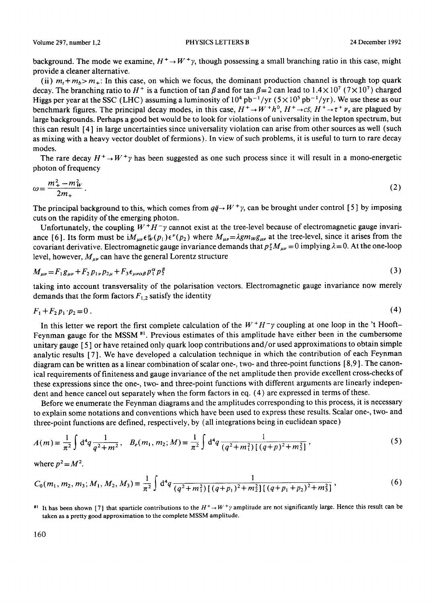Volume 297, number 1.2 **PHYSICS LETTERS B** 24 December 1992

background. The mode we examine,  $H^+ \rightarrow W^+$ , though possessing a small branching ratio in this case, might provide a cleaner alternative.

(ii)  $m_t + m_b > m_+$ : In this case, on which we focus, the dominant production channel is through top quark decay. The branching ratio to H<sup>+</sup> is a function of tan  $\beta$  and for tan  $\beta = 2$  can lead to 1.4 × 10<sup>7</sup> (7 × 10<sup>7</sup>) charged Higgs per year at the SSC (LHC) assuming a luminosity of  $10^4$  pb<sup>-1</sup>/yr ( $5 \times 10^5$  pb<sup>-1</sup>/yr). We use these as our benchmark figures. The principal decay modes, in this case,  $H^+ \to W^+h^0$ ,  $H^+ \to c\bar{s}$ ,  $H^+ \to \tau^+ \nu_{\tau}$  are plagued by large backgrounds. Perhaps a good bet would be to look for violations of universality in the lepton spectrum, but this can result [4] in large uncertainties since universality violation can arise from other sources as well (such as mixing with a heavy vector doublet of fermions). In view of such problems, it is useful to turn to rare decay modes.

The rare decay  $H^+ \rightarrow W^+ \gamma$  has been suggested as one such process since it will result in a mono-energetic photon of frequency

$$
\omega = \frac{m_+^2 - m_W^2}{2m_+} \,. \tag{2}
$$

The principal background to this, which comes from  $q\bar{q} \rightarrow W^+ \gamma$ , can be brought under control [5] by imposing cuts on the rapidity of the emerging photon.

Unfortunately, the coupling  $W^+H^-\gamma$  cannot exist at the tree-level because of electromagnetic gauge invariance [6]. Its form must be  $iM_{\mu\nu}\epsilon^{\mu}_{W}(p_1)\epsilon^{\nu}(p_2)$  where  $M_{\mu\nu}=\lambda g m_{W}g_{\mu\nu}$  at the tree-level, since it arises from the covariant derivative. Electromagnetic gauge invariance demands that  $p_2^M M_{\mu\nu} = 0$  implying  $\lambda = 0$ . At the one-loop level, however,  $M_{\mu\nu}$  can have the general Lorentz structure

$$
M_{\mu\nu} = F_1 g_{\mu\nu} + F_2 p_{1\nu} p_{2\mu} + F_3 \epsilon_{\mu\nu\alpha\beta} p_1^{\alpha} p_2^{\beta} \tag{3}
$$

taking into account transversality of the polarisation vectors. Electromagnetic gauge invariance now merely demands that the form factors  $F_{1,2}$  satisfy the identity

$$
F_1 + F_2 p_1 \cdot p_2 = 0 \tag{4}
$$

In this letter we report the first complete calculation of the  $W^+H^- \gamma$  coupling at one loop in the 't Hooft-Feynman gauge for the MSSM<sup>#1</sup>. Previous estimates of this amplitude have either been in the cumbersome unitary gauge [ 5 ] or have retained only quark loop contributions and/or used approximations to obtain simple analytic results [ 7 ]. We have developed a calculation technique in which the contribution of each Feynman diagram can be written as a linear combination of scalar one-, two- and three-point functions [8,9 ]. The canonical requirements of finiteness and gauge invariance of the net amplitude then provide excellent cross-checks of these expressions since the one-, two- and three-point functions with different arguments are linearly independent and hence cancel out separately when the form factors in eq. (4) are expressed in terms of these.

Before we enumerate the Feynman diagrams and the amplitudes corresponding to this process, it is necessary to explain some notations and conventions which have been used to express these results. Scalar one-, two- and three-point functions are defined, respectively, by (all integrations being in euclidean space)

$$
A(m) = \frac{1}{\pi^2} \int d^4q \, \frac{1}{q^2 + m^2}, \quad B_e(m_1, m_2; M) = \frac{1}{\pi^2} \int d^4q \, \frac{1}{(q^2 + m_1^2) \left[ (q + p)^2 + m_2^2 \right]},
$$
\n<sup>(5)</sup>

where 
$$
p^2 = M^2
$$
.

$$
C_0(m_1, m_2, m_3; M_1, M_2, M_3) \equiv \frac{1}{\pi^2} \int d^4q \, \frac{1}{(q^2 + m_1^2) \left[ (q + p_1)^2 + m_2^2 \right] \left[ (q + p_1 + p_2)^2 + m_3^2 \right]} \,, \tag{6}
$$

<sup>#1</sup> It has been shown [7] that sparticle contributions to the  $H^+ \to W^+ \gamma$  amplitude are not significantly large. Hence this result can be taken as a pretty good approximation to the complete MSSM amplitude.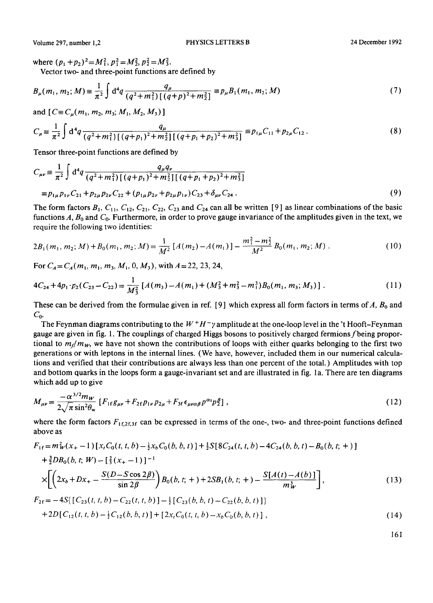Volume 297, number 1,2 PHYSICS LETTERS B 24 December 1992

where  $(p_1 + p_2)^2 = M_1^2$ ,  $p_1^2 = M_2^2$ ,  $p_2^2 = M_3^2$ .

Vector two- and three-point functions are defined by

$$
B_{\mu}(m_1, m_2; M) \equiv \frac{1}{\pi^2} \int d^4q \, \frac{q_{\mu}}{(q^2 + m_1^2) \left[ (q + p)^2 + m_2^2 \right]} \equiv p_{\mu} B_1(m_1, m_2; M)
$$
 (7)

and  $[C \equiv C_{\mu}(m_1, m_2, m_3; M_1, M_2, M_3)]$ 

$$
C_{\mu} = \frac{1}{\pi^2} \int d^4q \, \frac{q_{\mu}}{(q^2 + m_1^2) \left[ (q + p_1)^2 + m_2^2 \right] \left[ (q + p_1 + p_2)^2 + m_3^2 \right]} = p_{1\mu} C_{11} + p_{2\mu} C_{12} \,. \tag{8}
$$

Tensor three-point functions are defined by

$$
C_{\mu\nu} \equiv \frac{1}{\pi^2} \int d^4q \frac{q_{\mu}}{(q^2 + m_1^2) \left[ (q + p_1)^2 + m_2^2 \right] \left[ (q + p_1 + p_2)^2 + m_3^2 \right]} \n\equiv p_{1\mu} p_{1\nu} C_{21} + p_{2\mu} p_{2\nu} C_{22} + (p_{1\mu} p_{2\nu} + p_{2\mu} p_{1\nu}) C_{23} + \delta_{\mu\nu} C_{24}.
$$
\n(9)

The form factors  $B_1$ ,  $C_{11}$ ,  $C_{12}$ ,  $C_{21}$ ,  $C_{22}$ ,  $C_{23}$  and  $C_{24}$  can all be written [9] as linear combinations of the basic functions A,  $B_0$  and  $C_0$ . Furthermore, in order to prove gauge invariance of the amplitudes given in the text, we require the following two identities:

$$
2B_1(m_1, m_2; M) + B_0(m_1, m_2; M) = \frac{1}{M^2} \left[ A(m_2) - A(m_1) \right] - \frac{m_1^2 - m_2^2}{M^2} B_0(m_1, m_2; M) \tag{10}
$$

For  $C_A = C_A(m_1, m_1, m_3, M_1, 0, M_3)$ , with  $A = 22, 23, 24$ ,

$$
4C_{24} + 4p_1 \cdot p_2(C_{23} - C_{22}) = \frac{1}{M_3^2} \left[ A(m_3) - A(m_1) + (M_3^2 + m_3^2 - m_1^3) B_0(m_1, m_3; M_3) \right].
$$
 (11)

These can be derived from the formulae given in ref. [9] which express all form factors in terms of  $A$ ,  $B_0$  and  $C_{0}$ .

The Feynman diagrams contributing to the  $W^+H^- \gamma$  amplitude at the one-loop level in the 't Hooft-Feynman gauge are given in fig. 1. The couplings of charged Higgs bosons to positively charged fermions f being proportional to  $m_f/m_W$ , we have not shown the contributions of loops with either quarks belonging to the first two generations or with leptons in the internal lines. (We have, however, included them in our numerical calculations and verified that their contributions are always less than one percent of the total.) Amplitudes with top and bottom quarks in the loops form a gauge-invariant set and are illustrated in fig. 1 a. There are ten diagrams which add up to give

$$
M_{\mu\nu} = \frac{-\alpha^{3/2} m_{W}}{2\sqrt{\pi} \sin^{2}\theta_{w}} \left[ F_{1f}g_{\mu\nu} + F_{2f}p_{1\nu}p_{2\mu} + F_{3f} \epsilon_{\mu\nu\alpha\beta} p^{\alpha_{1}} p^{\beta}_{2} \right],
$$
 (12)

where the form factors  $F_{1f,2f,3f}$  can be expressed in terms of the one-, two- and three-point functions defined above as

$$
F_{1f} = m_W^2(x_+-1) [x_t C_0(t, t, b) - \frac{1}{2} x_b C_0(b, b, t)] + \frac{1}{2} S[8C_{24}(t, t, b) - 4C_{24}(b, b, t) - B_0(b, t; +)]
$$
  
+ 
$$
\frac{3}{2} DB_0(b, t; W) - [\frac{2}{3}(x_+-1)]^{-1}
$$
  

$$
\times \left[ \left( 2x_b + Dx_+ - \frac{S(D - S \cos 2\beta)}{\sin 2\beta} \right) B_0(b, t; +) + 2SB_1(b, t; +) - \frac{S[A(t) - A(b)]}{m_W^3} \right],
$$
 (13)

$$
F_{2f} = -4S\{ [C_{23}(t, t, b) - C_{22}(t, t, b)] - \frac{1}{2} [C_{23}(b, b, t) - C_{22}(b, b, t)] \}+ 2D[C_{12}(t, t, b) - \frac{1}{2}C_{12}(b, b, t)] + [2xtC_{0}(t, t, b) - xbC_{0}(b, b, t)],
$$
\n(14)

161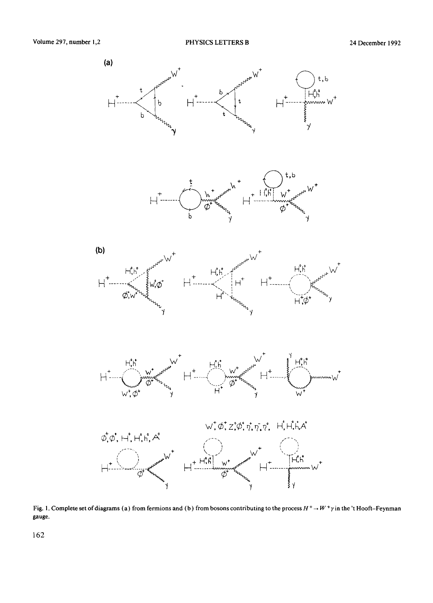









Fig. 1. Complete set of diagrams (a) from fermions and (b) from bosons contributing to the process  $H^+ \to W^+ \gamma$  in the 't Hooft-Feynman gauge.

162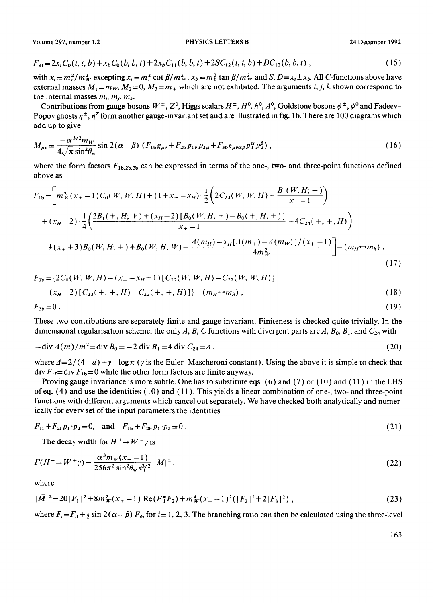Volume 297, number 1,2 **PHYSICS LETTERS B** 24 December 1992

$$
F_{3f} = 2x_t C_0(t, t, b) + x_b C_0(b, b, t) + 2x_b C_{11}(b, b, t) + 2SC_{12}(t, t, b) + DC_{12}(b, b, t) ,
$$
\n(15)

with  $x_i = m_i^2 / m_W^2$  excepting  $x_i = m_i^2 \cot \beta / m_W^2$ ,  $x_b = m_b^2 \tan \beta / m_W^2$  and  $S$ ,  $D = x_t \pm x_b$ . All C-functions above have external masses  $M_1 = m_W$ ,  $M_2 = 0$ ,  $M_3 = m_+$  which are not exhibited. The arguments i, j, k shown correspond to the internal masses  $m_i$ ,  $m_j$ ,  $m_k$ .

Contributions from gauge-bosons  $W^{\pm}$ ,  $Z^0$ , Higgs scalars  $H^{\pm}$ ,  $H^0$ ,  $h^0$ ,  $A^0$ , Goldstone bosons  $\phi^{\pm}$ ,  $\phi^0$  and Fadeev-Popov ghosts  $\eta^{\pm}$ ,  $\eta^z$  form another gauge-invariant set and are illustrated in fig. 1b. There are 100 diagrams which add up to give

$$
M_{\mu\nu} = \frac{-\alpha^{3/2} m_W}{4\sqrt{\pi} \sin^2 \theta_w} \sin 2(\alpha - \beta) \left( F_{1b} g_{\mu\nu} + F_{2b} p_{1\nu} p_{2\mu} + F_{3b} \epsilon_{\mu\nu\alpha\beta} p_1^{\alpha} p_2^{\beta} \right), \tag{16}
$$

where the form factors  $F_{1b,2b,3b}$  can be expressed in terms of the one-, two- and three-point functions defined above as

$$
F_{1b} = \left[ m_W^3(x_+ - 1)C_0(W, W, H) + (1 + x_+ - x_H) \cdot \frac{1}{2} \left( 2C_{24}(W, W, H) + \frac{B_1(W, H; +)}{x_+ - 1} \right) + (x_H - 2) \cdot \frac{1}{4} \left( \frac{2B_1(+, H; +) + (x_H - 2)[B_0(W, H; +) - B_0(+, H; +)]}{x_+ - 1} + 4C_{24}(+, +, H) \right) - \frac{1}{4}(x_+ + 3)B_0(W, H; +) + B_0(W, H; W) - \frac{A(m_H) - x_H[A(m_+) - A(m_W)]/(x_+ - 1)}{4m_W^2} \right] - (m_H \leftrightarrow m_h),
$$
\n(17)

$$
F_{2b} = \{2C_0(W, W, H) - (x_+ - x_H + 1)[C_{22}(W, W, H) - C_{22}(W, W, H)]
$$
  
– (x<sub>H</sub> - 2)[C<sub>23</sub>(+, +, H) - C<sub>22</sub>(+, +, H)]} – (m<sub>H</sub>leftrightarrow m<sub>h</sub>), (18)  

$$
F_{3b} = 0.
$$
 (19)

These two contributions are separately finite and gauge invariant. Finiteness is checked quite trivially. In the dimensional regularisation scheme, the only A, B, C functions with divergent parts are A,  $B_0$ ,  $B_1$ , and  $C_{24}$  with

$$
-\operatorname{div} A(m)/m^2 = \operatorname{div} B_0 = -2 \operatorname{div} B_1 = 4 \operatorname{div} C_{24} = \Delta , \qquad (20)
$$

where  $\Delta = 2/(4-d) + \gamma - \log \pi$  ( $\gamma$  is the Euler-Mascheroni constant). Using the above it is simple to check that  $div F_{1f} = div F_{1b} = 0$  while the other form factors are finite anyway.

Proving gauge invariance is more subtle. One has to substitute eqs.  $(6)$  and  $(7)$  or  $(10)$  and  $(11)$  in the LHS of eq. (4) and use the identities (10) and ( 11 ). This yields a linear combination of one-, two- and three-point functions with different arguments which cancel out separately. We have checked both analytically and numerically for every set of the input parameters the identities

$$
F_{1f} + F_{2f}p_1 \cdot p_2 = 0, \quad \text{and} \quad F_{1b} + F_{2b}p_1 \cdot p_2 = 0 \tag{21}
$$

The decay width for  $H^+ \rightarrow W^+ \gamma$  is

$$
\Gamma(H^+ \to W^+ \gamma) = \frac{\alpha^3 m_W (x_+ - 1)}{256 \pi^2 \sin^2 \theta_W x_+^{3/2}} |\bar{M}|^2 , \qquad (22)
$$

where

$$
|\bar{M}|^2 = 20|F_1|^2 + 8m_W^2(x_+ - 1) \operatorname{Re}(F_1^*F_2) + m_W^4(x_+ - 1)^2(|F_2|^2 + 2|F_3|^2) ,\tag{23}
$$

where  $F_i = F_{if} + \frac{1}{2} \sin 2(\alpha - \beta) F_{ib}$  for  $i = 1, 2, 3$ . The branching ratio can then be calculated using the three-level

163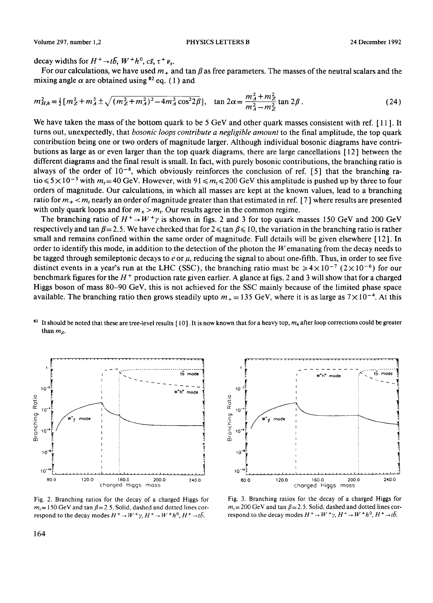decay widths for  $H^+ \rightarrow t\bar{b}$ ,  $W^+h^0$ ,  $c\bar{s}$ ,  $\tau^+ \nu_r$ .

For our calculations, we have used  $m<sub>+</sub>$  and tan  $\beta$  as free parameters. The masses of the neutral scalars and the mixing angle  $\alpha$  are obtained using <sup>#2</sup> eq. (1) and

$$
m_{H,h}^2 = \frac{1}{2} \left[ m_Z^2 + m_A^2 \pm \sqrt{(m_Z^2 + m_A^2)^2 - 4m_A^2 \cos^2 2\beta} \right], \quad \tan 2\alpha = \frac{m_A^2 + m_Z^2}{m_A^2 - m_Z^2} \tan 2\beta \,. \tag{24}
$$

We have taken the mass of the bottom quark to be 5 GeV and other quark masses consistent with ref. [11]. It **turns out, unexpectedly, that** *bosonic loops contribute a negligible amount* **to the final amplitude, the top quark contribution being one or two orders of magnitude larger. Although individual bosonic diagrams have contributions as large as or even larger than the top quark diagrams, there are large cancellations [ 12 ] between the different diagrams and the final result is small. In fact, with purely bosonic contributions, the branching ratio is**  always of the order of  $10^{-8}$ , which obviously reinforces the conclusion of ref. [5] that the branching ra- $\text{tio} \leq 5 \times 10^{-5}$  with  $m_t = 40$  GeV. However, with 91  $\leq m_t \leq 200$  GeV this amplitude is pushed up by three to four **orders of magnitude. Our calculations, in which all masses are kept at the known values, lead to a branching**  ratio for  $m_+ < m_t$  nearly an order of magnitude greater than that estimated in ref. [7] where results are presented with only quark loops and for  $m_+ > m_t$ . Our results agree in the common regime.

The branching ratio of  $H^+ \rightarrow W^+ \gamma$  is shown in figs. 2 and 3 for top quark masses 150 GeV and 200 GeV respectively and tan  $\beta = 2.5$ . We have checked that for  $2 \le \tan \beta \le 10$ , the variation in the branching ratio is rather **small and remains confined within the same order of magnitude. Full details will be given elsewhere [ 12 ]. In order to identify this mode, in addition to the detection of the photon the Wemanating from the decay needs to**  be tagged through semileptonic decays to  $e$  or  $\mu$ , reducing the signal to about one-fifth. Thus, in order to see five distinct events in a year's run at the LHC (SSC), the branching ratio must be  $\ge 4 \times 10^{-7}$  ( $2 \times 10^{-6}$ ) for our **benchmark figures for the H + production rate given earlier. A glance at figs. 2 and 3 will show that for a charged Higgs boson of mass 80-90 GeV, this is not achieved for the SSC mainly because of the limited phase space available. The branching ratio then grows steadily upto**  $m<sub>+</sub> = 135$  **GeV, where it is as large as**  $7 \times 10^{-4}$ **. At this** 





**Fig. 2. Branching ratios for the decay of a charged Higgs for**   $m_t = 150$  GeV and tan  $\beta = 2.5$ . Solid, dashed and dotted lines correspond to the decay modes  $H^+ \to W^+ \gamma$ ,  $H^+ \to W^+ h^0$ ,  $H^+ \to t\bar{b}$ .



**Fig. 3. Branching ratios for the decay of a charged Higgs for**   $m_t$  = 200 GeV and tan  $\beta$  = 2.5. Solid, dashed and dotted lines correspond to the decay modes  $H^+ \rightarrow W^+ \gamma$ ,  $H^+ \rightarrow W^+ h^0$ ,  $H^+ \rightarrow t\bar{b}$ .